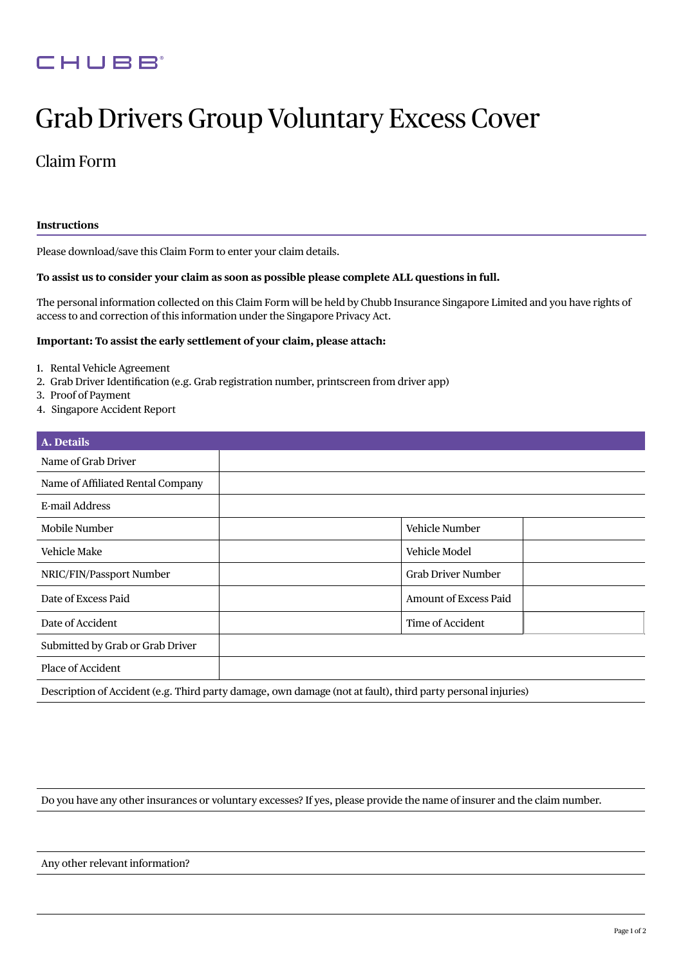## CHUBB

# Grab Drivers Group Voluntary Excess Cover

### Claim Form

#### **Instructions**

Please download/save this Claim Form to enter your claim details.

#### **To assist us to consider your claim as soon as possible please complete ALL questions in full.**

The personal information collected on this Claim Form will be held by Chubb Insurance Singapore Limited and you have rights of access to and correction of this information under the Singapore Privacy Act.

#### **Important: To assist the early settlement of your claim, please attach:**

- 1. Rental Vehicle Agreement
- 2. Grab Driver Identification (e.g. Grab registration number, printscreen from driver app)
- 3. Proof of Payment
- 4. Singapore Accident Report

| A. Details                        |                                                                                                             |
|-----------------------------------|-------------------------------------------------------------------------------------------------------------|
| Name of Grab Driver               |                                                                                                             |
| Name of Affiliated Rental Company |                                                                                                             |
| E-mail Address                    |                                                                                                             |
| Mobile Number                     | Vehicle Number                                                                                              |
| Vehicle Make                      | Vehicle Model                                                                                               |
| NRIC/FIN/Passport Number          | <b>Grab Driver Number</b>                                                                                   |
| Date of Excess Paid               | <b>Amount of Excess Paid</b>                                                                                |
| Date of Accident                  | Time of Accident                                                                                            |
| Submitted by Grab or Grab Driver  |                                                                                                             |
| Place of Accident                 |                                                                                                             |
|                                   | Description of Accident (e.g. Third party damage, own damage (not at fault), third party personal injuries) |

Do you have any other insurances or voluntary excesses? If yes, please provide the name of insurer and the claim number.

Any other relevant information?